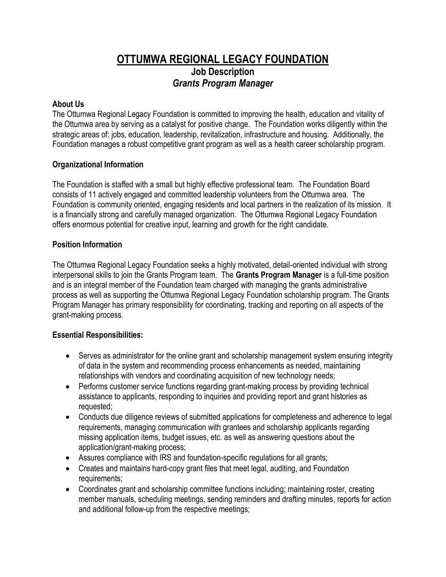# **OTTUMWA REGIONAL LEGACY FOUNDATION Job Description** *Grants Program Manager*

#### **About Us**

The Ottumwa Regional Legacy Foundation is committed to improving the health, education and vitality of the Ottumwa area by serving as a catalyst for positive change. The Foundation works diligently within the strategic areas of: jobs, education, leadership, revitalization, infrastructure and housing. Additionally, the Foundation manages a robust competitive grant program as well as a health career scholarship program.

## **Organizational Information**

The Foundation is staffed with a small but highly effective professional team. The Foundation Board consists of 11 actively engaged and committed leadership volunteers from the Ottumwa area. The Foundation is community oriented, engaging residents and local partners in the realization of its mission. It is a financially strong and carefully managed organization. The Ottumwa Regional Legacy Foundation offers enormous potential for creative input, learning and growth for the right candidate.

#### **Position Information**

The Ottumwa Regional Legacy Foundation seeks a highly motivated, detail-oriented individual with strong interpersonal skills to join the Grants Program team. The **Grants Program Manager** is a full-time position and is an integral member of the Foundation team charged with managing the grants administrative process as well as supporting the Ottumwa Regional Legacy Foundation scholarship program. The Grants Program Manager has primary responsibility for coordinating, tracking and reporting on all aspects of the grant-making process.

## **Essential Responsibilities:**

- Serves as administrator for the online grant and scholarship management system ensuring integrity of data in the system and recommending process enhancements as needed, maintaining relationships with vendors and coordinating acquisition of new technology needs;
- Performs customer service functions regarding grant-making process by providing technical assistance to applicants, responding to inquiries and providing report and grant histories as requested;
- Conducts due diligence reviews of submitted applications for completeness and adherence to legal requirements, managing communication with grantees and scholarship applicants regarding missing application items, budget issues, etc. as well as answering questions about the application/grant-making process;
- Assures compliance with IRS and foundation-specific regulations for all grants;
- Creates and maintains hard-copy grant files that meet legal, auditing, and Foundation requirements;
- Coordinates grant and scholarship committee functions including; maintaining roster, creating member manuals, scheduling meetings, sending reminders and drafting minutes, reports for action and additional follow-up from the respective meetings;